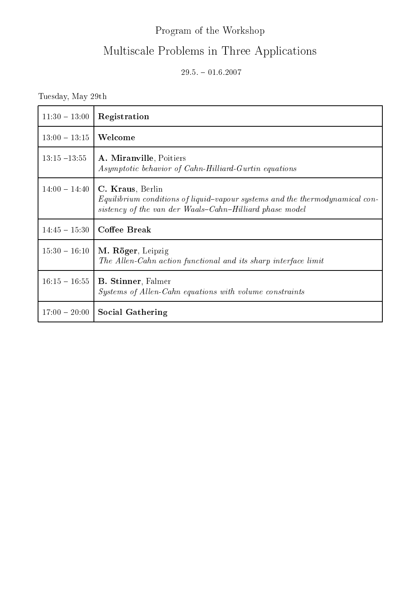## Program of the Workshop

## Multis
ale Problems in Three Appli
ations

 $29.5. -01.6.2007$ 

Tuesday, May 29th

| $11:30 - 13:00$ | Registration                                                                                                                                                |
|-----------------|-------------------------------------------------------------------------------------------------------------------------------------------------------------|
| $13:00 - 13:15$ | Welcome                                                                                                                                                     |
| $13:15 - 13:55$ | A. Miranville, Poitiers<br>Asymptotic behavior of Cahn-Hilliard-Gurtin equations                                                                            |
| $14:00 - 14:40$ | C. Kraus, Berlin<br>Equilibrium conditions of liquid-vapour systems and the thermodynamical con-<br>sistency of the van der Waals-Cahn-Hilliard phase model |
| $14:45 - 15:30$ | <b>Coffee Break</b>                                                                                                                                         |
| $15:30 - 16:10$ | M. Röger, Leipzig<br>The Allen-Cahn action functional and its sharp interface limit                                                                         |
| $16:15 - 16:55$ | <b>B. Stinner</b> , Falmer<br>Systems of Allen-Cahn equations with volume constraints                                                                       |
| $17:00 - 20:00$ | <b>Social Gathering</b>                                                                                                                                     |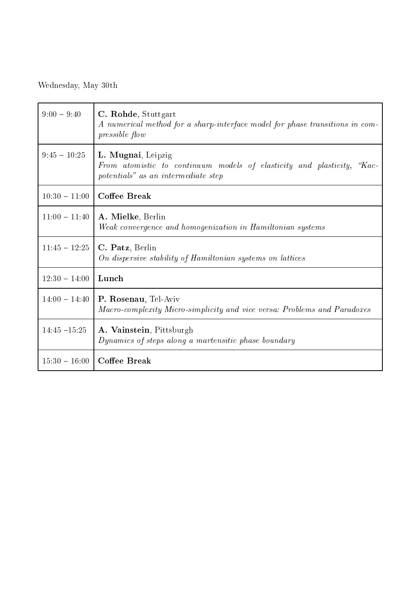Wednesday, May 30th

| $9:00 - 9:40$   | C. Rohde, Stuttgart<br>A numerical method for a sharp-interface model for phase transitions in com-<br><i>pressible flow</i>           |
|-----------------|----------------------------------------------------------------------------------------------------------------------------------------|
| $9:45 - 10:25$  | L. Mugnai, Leipzig<br>From atomistic to continuum models of elasticity and plasticity,<br>"Kac-<br>potentials" as an intermediate step |
| $10:30 - 11:00$ | <b>Coffee Break</b>                                                                                                                    |
| $11:00 - 11:40$ | A. Mielke, Berlin<br>Weak convergence and homogenization in Hamiltonian systems                                                        |
| $11:45 - 12:25$ | C. Patz, Berlin<br>On dispersive stability of Hamiltonian systems on lattices                                                          |
| $12:30 - 14:00$ | Lunch                                                                                                                                  |
| $14:00 - 14:40$ | P. Rosenau, Tel-Aviv<br>Macro-complexity Micro-simplicity and vice versa: Problems and Paradoxes                                       |
| $14:45 - 15:25$ | A. Vainstein, Pittsburgh<br>Dynamics of steps along a martensitic phase boundary                                                       |
| $15:30 - 16:00$ | <b>Coffee Break</b>                                                                                                                    |